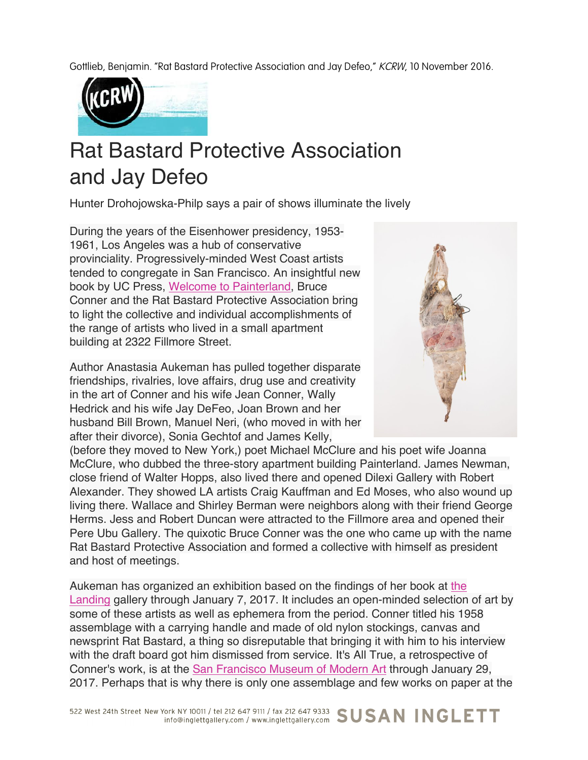Gottlieb, Benjamin. "Rat Bastard Protective Association and Jay Defeo," KCRW, 10 November 2016.



## Rat Bastard Protective Association and Jay Defeo

Hunter Drohojowska-Philp says a pair of shows illuminate the lively

During the years of the Eisenhower presidency, 1953- 1961, Los Angeles was a hub of conservative provinciality. Progressively-minded West Coast artists tended to congregate in San Francisco. An insightful new book by UC Press, Welcome to Painterland, Bruce Conner and the Rat Bastard Protective Association bring to light the collective and individual accomplishments of the range of artists who lived in a small apartment building at 2322 Fillmore Street.

Author Anastasia Aukeman has pulled together disparate friendships, rivalries, love affairs, drug use and creativity in the art of Conner and his wife Jean Conner, Wally Hedrick and his wife Jay DeFeo, Joan Brown and her husband Bill Brown, Manuel Neri, (who moved in with her after their divorce), Sonia Gechtof and James Kelly,



(before they moved to New York,) poet Michael McClure and his poet wife Joanna McClure, who dubbed the three-story apartment building Painterland. James Newman, close friend of Walter Hopps, also lived there and opened Dilexi Gallery with Robert Alexander. They showed LA artists Craig Kauffman and Ed Moses, who also wound up living there. Wallace and Shirley Berman were neighbors along with their friend George Herms. Jess and Robert Duncan were attracted to the Fillmore area and opened their Pere Ubu Gallery. The quixotic Bruce Conner was the one who came up with the name Rat Bastard Protective Association and formed a collective with himself as president and host of meetings.

Aukeman has organized an exhibition based on the findings of her book at the Landing gallery through January 7, 2017. It includes an open-minded selection of art by some of these artists as well as ephemera from the period. Conner titled his 1958 assemblage with a carrying handle and made of old nylon stockings, canvas and newsprint Rat Bastard, a thing so disreputable that bringing it with him to his interview with the draft board got him dismissed from service. It's All True, a retrospective of Conner's work, is at the San Francisco Museum of Modern Art through January 29, 2017. Perhaps that is why there is only one assemblage and few works on paper at the